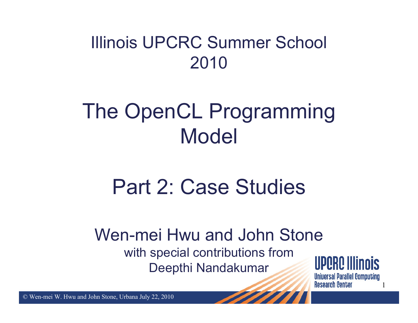### Illinois UPCRC Summer School 2010

# The OpenCL Programming Model

# Part 2: Case Studies

#### Wen-mei Hwu and John Stonewith special contributions from Deepthi Nandakumar

UPQRQ Illinois **Universal Parallel Computing Research Center** 

1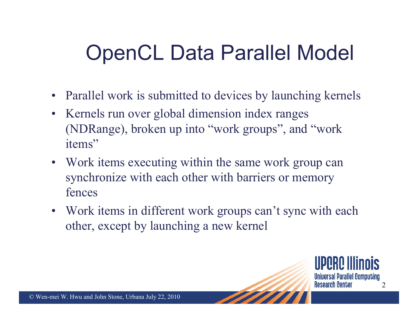# OpenCL Data Parallel Model

- Parallel work is submitted to devices by launching kernels
- Kernels run over global dimension index ranges (NDRange), broken up into "work groups", and "work items"
- Work items executing within the same work group can synchronize with each other with barriers or memory fences
- Work items in different work groups can't sync with each other, except by launching a new kernel

IIPQRQ IIII **Universal Parallel Computing Research Center** 2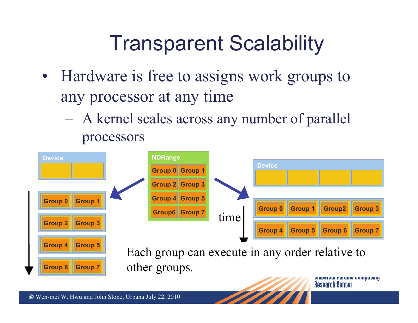# Transparent Scalability

- Hardware is free to assigns work groups to any processor at any time
	- A kernel scales across any number of parallel processors

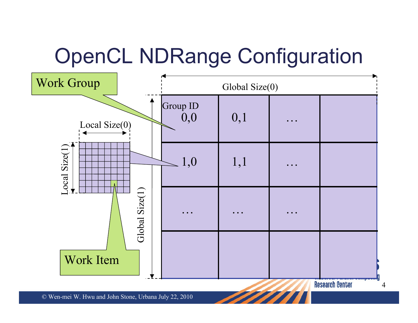# OpenCL NDRange Configuration



**Research Center** 

4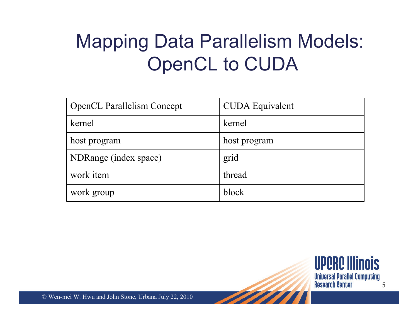### Mapping Data Parallelism Models: OpenCL to CUDA

| <b>OpenCL Parallelism Concept</b> | <b>CUDA</b> Equivalent |
|-----------------------------------|------------------------|
| kernel                            | kernel                 |
| host program                      | host program           |
| NDRange (index space)             | grid                   |
| work item                         | thread                 |
| work group                        | block                  |

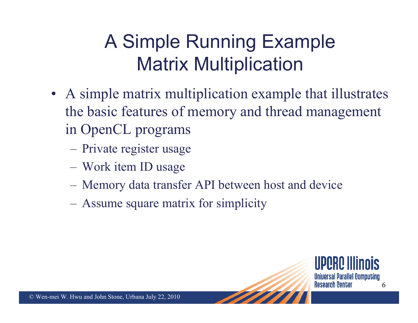# A Simple Running Example Matrix Multiplication

- A simple matrix multiplication example that illustrates the basic features of memory and thread management in OpenCL programs
	- $\mathcal{L}_{\mathcal{A}}$ Private register usage
	- $\mathcal{L}_{\mathcal{A}}$ Work item ID usage
	- $\mathcal{L}_{\mathcal{A}}$ Memory data transfer API between host and device
	- $\mathcal{L}_{\mathcal{A}}$ Assume square matrix for simplicity

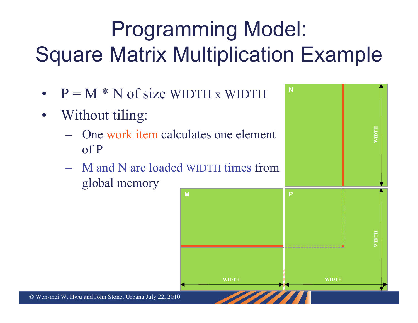# Programming Model: Square Matrix Multiplication Example

- • $P = M * N$  of size WIDTH x WIDTH
- •Without tiling:
	- $\mathcal{L}_{\mathcal{A}}$  , and the set of  $\mathcal{L}_{\mathcal{A}}$  One work item calculates one element of P
	- $\mathcal{L}_{\mathcal{A}}$  M and N are loaded WIDTH times from global memory **M**

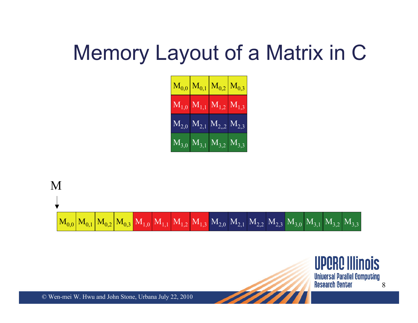# Memory Layout of a Matrix in C

|  | $\left. M_{0,0} \right  M_{0,1} \left  M_{0,2} \right  M_{0,3}$                                                         |  |
|--|-------------------------------------------------------------------------------------------------------------------------|--|
|  | $M_{1,0}$ $M_{1,1}$ $M_{1,2}$ $M_{1,3}$                                                                                 |  |
|  | $\overline{\mathrm{M}_{2,0}}$ $\overline{\mathrm{M}_{2,1}}$ $\overline{\mathrm{M}_{2,2}}$ $\overline{\mathrm{M}_{2,3}}$ |  |
|  | $\boxed{\rm{M}_{3,0}$ $\boxed{\rm{M}_{3,1}}$ $\boxed{\rm{M}_{3,2}}$ $\boxed{\rm{M}_{3,3}}$                              |  |



**UPORO Illinois Universal Parallel Computing Research Center** 8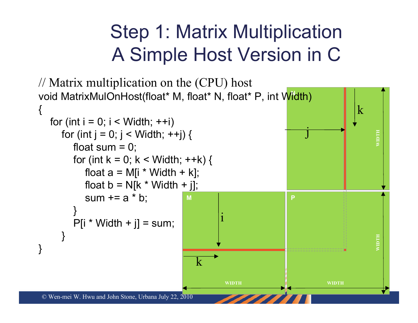### Step 1: Matrix Multiplication A Simple Host Version in C

```
© Wen-mei W. Hwu and John Stone, Urbana July 22, 2010 
                                                                                          \mathsf{I}MN
void MatrixMulOnHost(float* M, float* N, float* P, int Width) 
                                                                  PWIDTH WIDTH
                                                 WIDTH WIDTH
// Matrix multiplication on the (CPU) host
{<br>}
   for (int i = 0; i < Width; ++i)
      for (int j = 0; j < Width; ++j) {
         float sum = 0;
         for (int k = 0; k < Width; ++k) {
            float a = M[i * Width + k];float b = N[k * Width + j];sum += a * b;}
         P[i * Width + j] = sum;}
}
                                                ikkj
```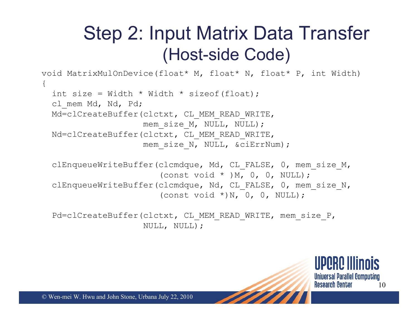### Step 2: Input Matrix Data Transfer (Host-side Code)

```
void MatrixMulOnDevice(float* M, float* N, float* P, int Width) 
{
  int size = Width * Width * sizeof(float);
  cl mem Md, Nd, Pd;
  Md=clCreateBuffer(clctxt, CL_MEM_READ_WRITE,
                    mem_size_M,_NULL, NULL);
  Nd=clCreateBuffer(clctxt, CL_MEM_READ_WRITE,
                    mem_size_N,_NULL, &ciErrNum);
```

```
clEnqueueWriteBuffer(clcmdque, Md, CL_FALSE, 0, mem_size_M,
                      (const void * ) M, 0, 0, NULL);
clEnqueueWriteBuffer(clcmdque, Nd, CL FALSE, 0, mem size N,
                      (const void *)N, 0, 0, NULL);
```
Pd=clCreateBuffer(clctxt, CL\_MEM\_READ\_WRITE, mem\_size\_P, NULL, NULL);

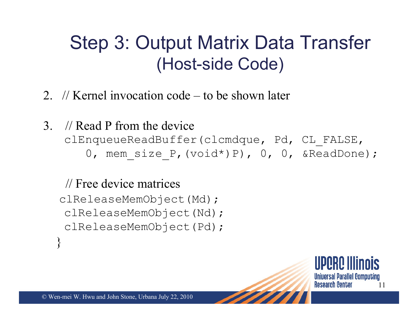### Step 3: Output Matrix Data Transfer (Host-side Code)

- 2. // Kernel invocation code to be shown later
- 3. // Read P from the deviceclEnqueueReadBuffer(clcmdque, Pd, CL\_FALSE, 0, mem size P, (void\*)P), 0, 0, &ReadDone);

#### // Free device matrices

clReleaseMemObject(Md);

clReleaseMemObject(Nd);

clReleaseMemObject(Pd);

**Universal Parallel Computing Research Center** 11

}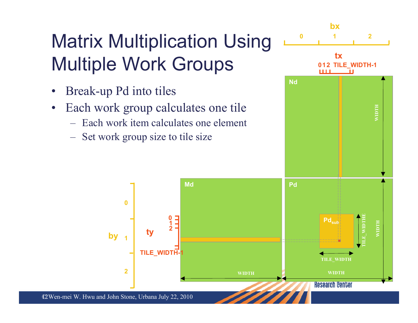# Matrix Multiplication Using Multiple Work Groups

- •Break-up Pd into tiles
- • Each work group calculates one tile
	- Each work item calculates one element

**1 0**

**TILE\_WIDTH-1**

Set work group size to tile size



12 © Wen-mei W. Hwu and John Stone, Urbana July 22, 2010

by  $\begin{array}{|c|c|} \hline \textbf{1} & \textbf{2} & \textbf{1} & \textbf{2} \\ \hline \end{array}$ 

**1**

**0**

**2**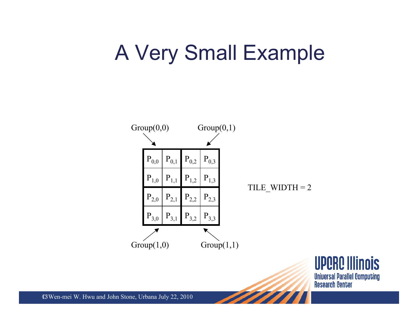# A Very Small Example



**UPORO Illinois Universal Parallel Computing Research Center**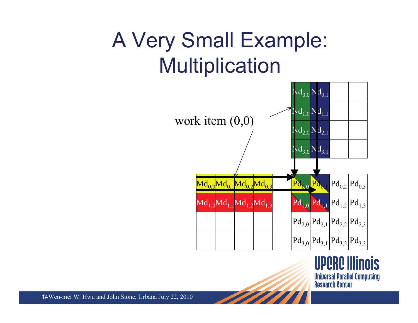# A Very Small Example: Multiplication



**UPORO Illinois Universal Parallel Computing Research Center**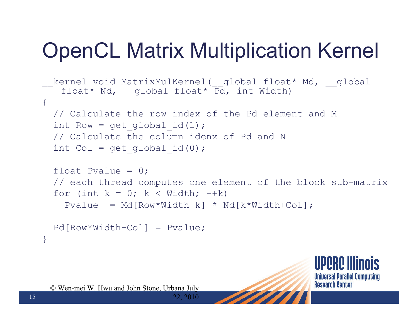# OpenCL Matrix Multiplication Kernel

```
kernel void MatrixMulKernel( global float* Md, global
   float* Nd, global float* \overline{Pd}, int Width)
\{// Calculate the row index of the Pd element and M
 int Row = get global id(1);// Calculate the column idenx of Pd and N
 int Col = get global id(0);
```

```
float Pvalue = 0:
// each thread computes one element of the block sub-matrix
for (int k = 0; k < Width; ++k)
 Pvalue += Md[Row*Width+k] * Nd[k*Width+Col];
```

```
Pd[Row*Width+Col] = Pvalue;
```


© Wen-mei W. Hwu and John Stone, Urbana July

}

22, 2010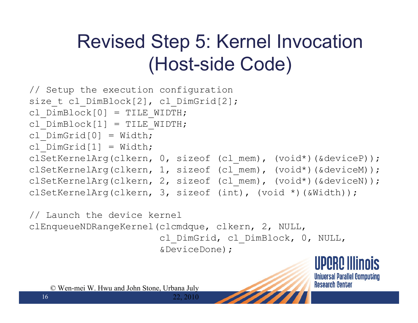## Revised Step 5: Kernel Invocation (Host-side Code)

```
// Setup the execution configuration
size t cl DimBlock[2], cl DimGrid[2];
cl DimBlock[0] = TILE WIDTH;cl DimBlock[1] = TILE WIDTH;
cl DimGrid[0] = Width;
cl DimGrid[1] = Width;
clSetKernelArg(clkern, 0, sizeof (cl_mem), (void*)(&deviceP));
clSetKernelArg(clkern, 1, sizeof (cl_mem), (void*)(&deviceM));
clSetKernelArg(clkern, 2, sizeof (cl_mem), (void*)(&deviceN));
clSetKernelArg(clkern, 3, sizeof (int), (void *)(&Width));
```
// Launch the device kernel clEnqueueNDRangeKernel(clcmdque, clkern, 2, NULL, cl\_DimGrid, cl\_DimBlock, 0, NULL,

22, 2010

&DeviceDone);

**UPPRP Illinois Universal Parallel Computing Research Center**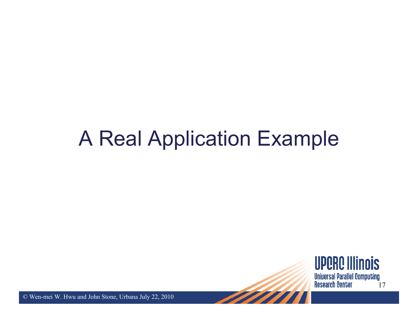### A Real Application Example

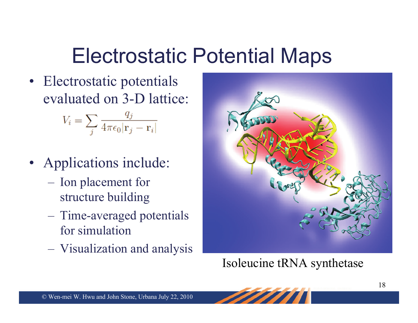# Electrostatic Potential Maps

• Electrostatic potentials evaluated on 3-D lattice:

$$
V_i = \sum_j \frac{q_j}{4\pi\epsilon_0 |\mathbf{r}_j - \mathbf{r}_i|}
$$

- Applications include:
	- Ion placement for structure building
	- $\mathcal{L}_{\mathcal{A}}$  Time-averaged potentials for simulation
	- $\mathcal{L}_{\mathcal{A}}$  , and the set of  $\mathcal{L}_{\mathcal{A}}$ Visualization and analysis



Isoleucine tRNA synthetase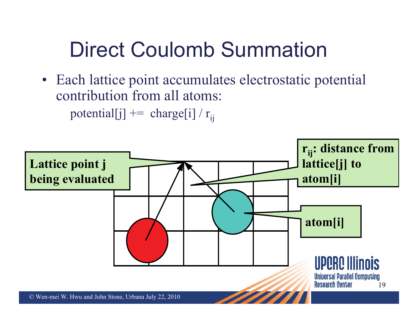# Direct Coulomb Summation

• Each lattice point accumulates electrostatic potential contribution from all atoms: potential[j]  $+=$  charge[i] / r<sub>ij</sub>

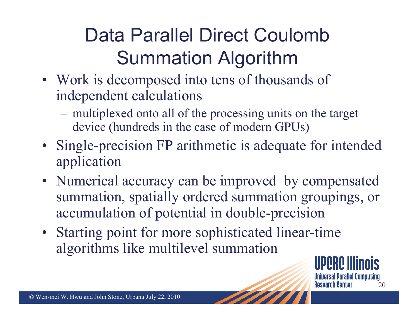# Data Parallel Direct Coulomb Summation Algorithm

- Work is decomposed into tens of thousands of independent calculations
	- $\mathcal{L}_{\mathcal{A}}$  , and the set of  $\mathcal{L}_{\mathcal{A}}$  multiplexed onto all of the processing units on the target device (hundreds in the case of modern GPUs)
- Single-precision FP arithmetic is adequate for intended application
- Numerical accuracy can be improved by compensated summation, spatially ordered summation groupings, or accumulation of potential in double-precision
- Starting point for more sophisticated linear-time algorithms like multilevel summation

Universal Parallel Computing **Research Center** 20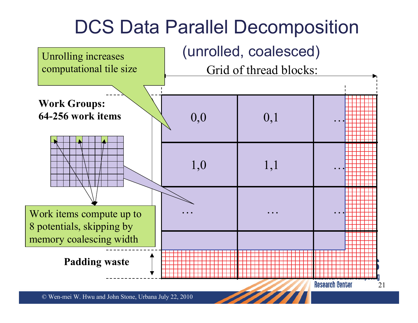### DCS Data Parallel Decomposition

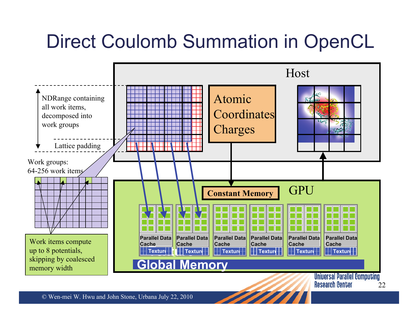### Direct Coulomb Summation in OpenCL

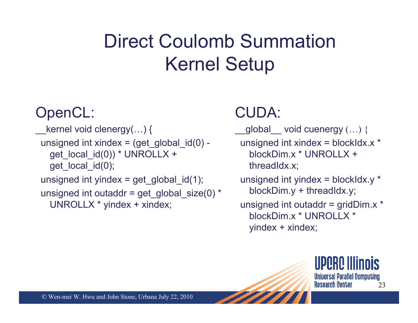## Direct Coulomb Summation Kernel Setup

#### OpenCL:

 $k$ ernel void clenergy(...) { unsigned int xindex =  $(\text{get global id}(0)$ get local  $id(0)$ ) \* UNROLLX + get\_local\_id(0); unsigned int yindex = get\_global\_id(1); unsigned int outaddr = get\_global\_size(0) \* UNROLLX \* yindex <sup>+</sup> xindex;

### CUDA:

global void cuenergy  $(...)$  { unsigned int xindex <sup>=</sup> blockIdx.x \* blockDim.x \* UNROLLX +threadIdx.x; unsigned int yindex = blockIdx. $y^*$ blockDim.y + threadIdx.y; unsigned int outaddr =  $gridDim.x$  \* blockDim.x \* UNROLLX \*yindex <sup>+</sup> xindex;

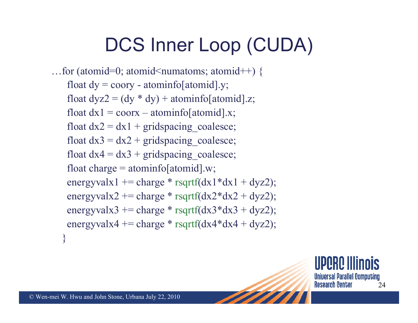### DCS Inner Loop (CUDA)

...for (atomid=0; atomid<numatoms; atomid++) { float  $dy =$  coory - atominfo[atomid].y; float  $dyz^2 = (dy * dy) + atominfo[atomid].z;$ float  $dx1 = \text{coor}x - \text{atomic}$  atominfold  $x$ ; float  $dx2 = dx1 + \text{gridspaceing}$  coalesce; float  $dx3 = dx2 + \text{gridspaceing}$  coalesce; float  $dx$ 4 =  $dx$ 3 + gridspacing coalesce; float charge = atominfo[atomid].w; energyvalx1 += charge \* rsqrtf(dx1\*dx1 + dyz2); energyvalx2 += charge \* rsqrtf( $dx2 * dx2 + dyz2$ ); energyvalx3  $+=$  charge  $*$  rsqrtf(dx3 $*$ dx3  $+$  dyz2); energyvalx4  $+=$  charge  $*$  rsqrtf(dx4 $*$ dx4  $+$  dyz2); }

> **Universal Parallel Computing Research Center** 24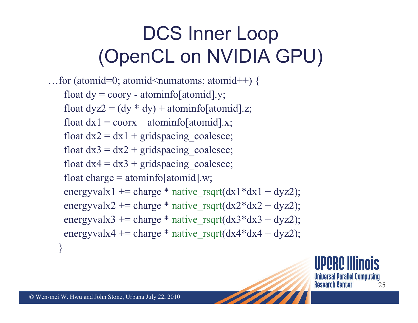## DCS Inner Loop (OpenCL on NVIDIA GPU)

...for (atomid=0; atomid<numatoms; atomid++) { float  $dy =$  coory - atominfo[atomid].y; float  $dyz^2 = (dy * dy) + atominfo[atomid].z;$ float  $dx1 = \text{coor}x - \text{atomic}$  atominfo [atomid].x; float  $dx2 = dx1 + \text{gridspaceing}$  coalesce; float  $dx3 = dx2 + \text{gridspaceing}$  coalesce; float  $dx$ 4 =  $dx$ 3 + gridspacing coalesce; float charge = atominfo[atomid].w; energyvalx1 += charge \* native rsqrt(dx1\*dx1 + dyz2); energyvalx2 += charge \* native rsqrt(dx2\*dx2 + dyz2); energyvalx3 += charge \* native rsqrt(dx3\*dx3 + dyz2); energyvalx4 += charge \* native\_rsqrt(dx4\*dx4 + dyz2); }

> Universal Parallel Computing **Research Center** 25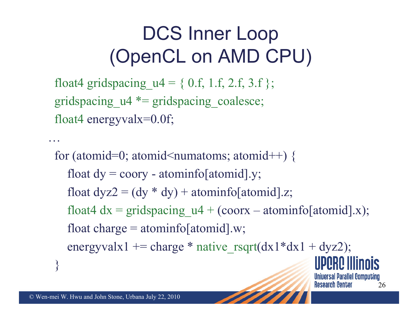### DCS Inner Loop (OpenCL on AMD CPU)

float4 gridspacing  $u4 = \{ 0.f, 1.f, 2.f, 3.f \};$ gridspacing  $u^4$  \*= gridspacing coalesce; float4 energyvalx=0.0f;

for (atomid=0; atomid $\leq$ numatoms; atomid $++$ ) { float  $dy =$  coory - atominfo[atomid].y; float  $dyz^2 = (dy * dy) + atominfo[atomid].z;$ float4  $dx =$  gridspacing  $u4 + (coorx - atominfo[atomid].x);$ float charge = atominfo[atomid].w; energyvalx1 += charge  $*$  native rsqrt(dx1 $*dx1 + dyz2$ ); } **Universal Parallel Computing** 

26

**Research Center** 

…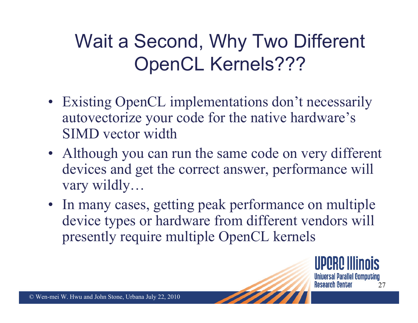# Wait a Second, Why Two Different OpenCL Kernels???

- Existing OpenCL implementations don't necessarily autovectorize your code for the native hardware's SIMD vector width
- Although you can run the same code on very different devices and get the correct answer, performance will vary wildly…
- In many cases, getting peak performance on multiple device types or hardware from different vendors will presently require multiple OpenCL kernels

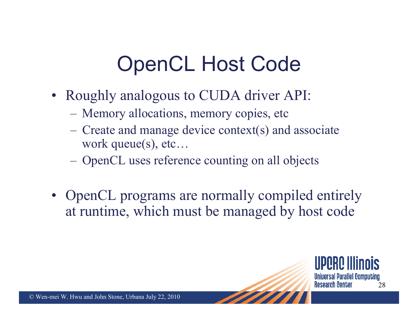# OpenCL Host Code

- Roughly analogous to CUDA driver API:
	- Memory allocations, memory copies, etc
	- $\mathcal{L}_{\mathcal{A}}$  Create and manage device context(s) and associate work queue(s), etc…
	- OpenCL uses reference counting on all objects
- OpenCL programs are normally compiled entirely at runtime, which must be managed by host code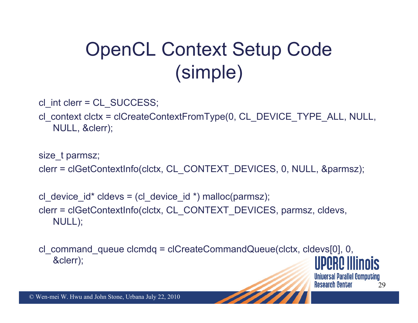# OpenCL Context Setup Code (simple)

cl int clerr = CL SUCCESS;

cl\_context clctx <sup>=</sup> clCreateContextFromType(0, CL\_DEVICE\_TYPE\_ALL, NULL, NULL, &clerr);

size t parmsz; clerr <sup>=</sup> clGetContextInfo(clctx, CL\_CONTEXT\_DEVICES, 0, NULL, &parmsz);

cl device  $id^*$  cldevs = (cl device  $id^*$ ) malloc(parmsz); clerr <sup>=</sup> clGetContextInfo(clctx, CL\_CONTEXT\_DEVICES, parmsz, cldevs, NULL);

cl\_command\_queue clcmdq <sup>=</sup> clCreateCommandQueue(clctx, cldevs[0], 0, &clerr);

> **Universal Parallel Computing Research Center** 29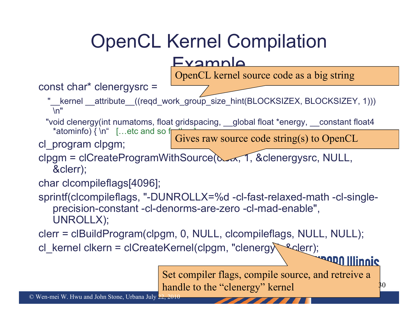## OpenCL Kernel Compilation

#### Example

OpenCL kernel source code as a big string

#### const char\* clenergysrc <sup>=</sup>

\_kernel \_\_attribute\_\_((reqd\_work\_group\_size\_hint(BLOCKSIZEX, BLOCKSIZEY, 1))) \n"

"void clenergy(int numatoms, float gridspacing, \_\_global float \*energy, \_\_constant float4 \*atominfo)  $\{ \n\in \mathbb{R}^n : \mathbb{R}^n \times \mathbb{R}^n \}$  . etc and so f

cl\_program clpgm;

Gives raw source code string(s) to OpenCL

clpgm = clCreateProgramWithSource(clerx, 1, &clenergysrc, NULL, &clerr);

```
char clcompileflags[4096];
```
sprintf(clcompileflags, "-DUNROLLX=%d -cl-fast-relaxed-math -cl-singleprecision-constant -cl-denorms-are-zero -cl-mad-enable", UNROLLX);

clerr <sup>=</sup> clBuildProgram(clpgm, 0, NULL, clcompileflags, NULL, NULL);

cl\_kernel clkern = clCreateKernel(clpgm, "clenergy sederr);

Set compiler flags, compile source, and retreive <sup>a</sup> handle to the "clenergy" kernel  $30$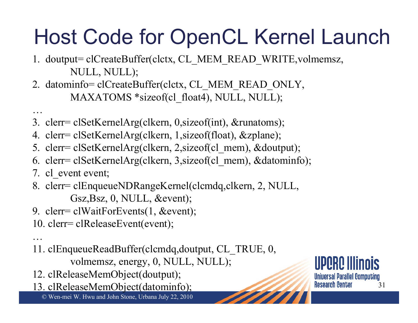# Host Code for OpenCL Kernel Launch

- 1. doutput= clCreateBuffer(clctx, CL\_MEM\_READ\_WRITE,volmemsz, NULL, NULL);
- 2. datominfo= clCreateBuffer(clctx, CL\_MEM\_READ\_ONLY, MAXATOMS \*sizeof(cl\_float4), NULL, NULL);
- 3. clerr= clSetKernelArg(clkern, 0,sizeof(int), &runatoms);
- 4. clerr= clSetKernelArg(clkern, 1,sizeof(float), &zplane);
- 5. clerr= clSetKernelArg(clkern, 2,sizeof(cl\_mem), &doutput);
- 6. clerr= clSetKernelArg(clkern, 3,sizeof(cl\_mem), &datominfo);
- 7. cl event event;

…

…

- 8. clerr= clEnqueueNDRangeKernel(clcmdq,clkern, 2, NULL, Gsz,Bsz, 0, NULL, &event);
- 9. clerr= clWaitForEvents(1, &event);
- 10. clerr= clReleaseEvent(event);
- 11. clEnqueueReadBuffer(clcmdq,doutput, CL\_TRUE, 0, volmemsz, energy, 0, NULL, NULL);
- 12. clReleaseMemObject(doutput);
- 13. clReleaseMemObject(datominfo);

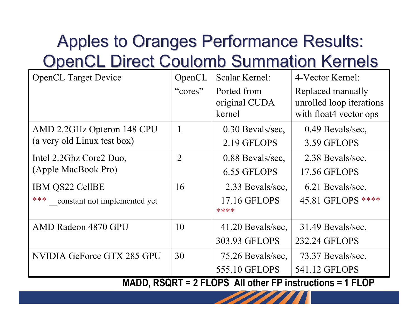### Apples to Oranges Performance Results: **OpenCL Direct Coulomb Summation Kernels**

| <b>OpenCL Target Device</b>                                           | OpenCL         | Scalar Kernel:      | 4-Vector Kernel:         |  |  |
|-----------------------------------------------------------------------|----------------|---------------------|--------------------------|--|--|
|                                                                       | "cores"        | Ported from         | Replaced manually        |  |  |
|                                                                       |                | original CUDA       | unrolled loop iterations |  |  |
|                                                                       |                | kernel              | with float 4 vector ops  |  |  |
| AMD 2.2GHz Opteron 148 CPU                                            |                | 0.30 Bevals/sec,    | 0.49 Bevals/sec,         |  |  |
| (a very old Linux test box)                                           |                | 2.19 GFLOPS         | 3.59 GFLOPS              |  |  |
| Intel 2.2Ghz Core2 Duo,                                               | $\overline{2}$ | 0.88 Bevals/sec.    | 2.38 Bevals/sec.         |  |  |
| (Apple MacBook Pro)                                                   |                | 6.55 GFLOPS         | 17.56 GFLOPS             |  |  |
| IBM QS22 CellBE                                                       | 16             | 2.33 Bevals/sec.    | 6.21 Bevals/sec.         |  |  |
| ***<br>constant not implemented yet                                   |                | 17.16 GFLOPS        | 45.81 GFLOPS ****        |  |  |
|                                                                       |                | ****                |                          |  |  |
| AMD Radeon 4870 GPU                                                   | 10             | $41.20$ Bevals/sec, | 31.49 Bevals/sec.        |  |  |
|                                                                       |                | 303.93 GFLOPS       | 232.24 GFLOPS            |  |  |
| NVIDIA GeForce GTX 285 GPU                                            | 30             | 75.26 Bevals/sec.   | 73.37 Bevals/sec.        |  |  |
|                                                                       |                | 555.10 GFLOPS       | 541.12 GFLOPS            |  |  |
| MADD, $P \text{COPT} = 2$ El ODS, All other ED instructions = 1 El OD |                |                     |                          |  |  |

**MINUSTRIGGENER SETTLE FLOP**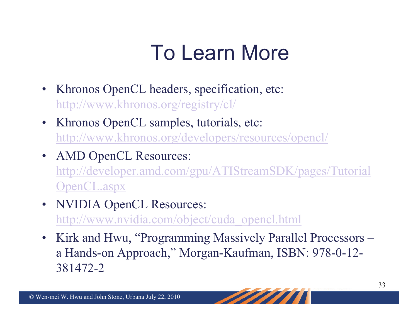# To Learn More

- Khronos OpenCL headers, specification, etc: <http://www.khronos.org/registry/cl/>
- Khronos OpenCL samples, tutorials, etc: <http://www.khronos.org/developers/resources/opencl/>
- AMD OpenCL Resources: [http://developer.amd.com/gpu/ATIStreamSDK/pages/Tutorial](http://developer.amd.com/gpu/ATIStreamSDK/pages/TutorialOpenCL.aspx) [OpenCL.aspx](http://developer.amd.com/gpu/ATIStreamSDK/pages/TutorialOpenCL.aspx)
- **NVIDIA OpenCL Resources:** http://www.nvidia.com/object/cuda\_opencl.html
- Kirk and Hwu, "Programming Massively Parallel Processors a Hands-on Approach," Morgan-Kaufman, ISBN: 978-0-12- 381472-2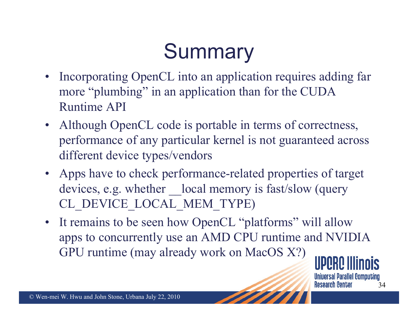# **Summary**

- Incorporating OpenCL into an application requires adding far more "plumbing" in an application than for the CUDA Runtime API
- Although OpenCL code is portable in terms of correctness, performance of any particular kernel is not guaranteed across different device types/vendors
- Apps have to check performance-related properties of target devices, e.g. whether local memory is fast/slow (query CL\_DEVICE\_LOCAL\_MEM\_TYPE)
- It remains to be seen how OpenCL "platforms" will allow apps to concurrently use an AMD CPU runtime and NVIDIA GPU runtime (may already work on MacOS X?)

Universal Parallel Computing **Research Center** 34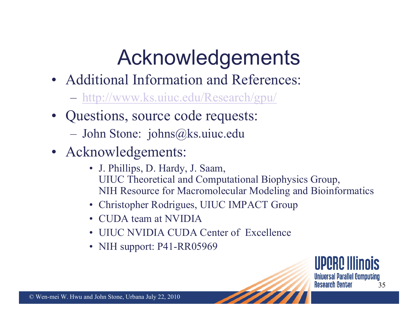# Acknowledgements

- Additional Information and References:
	- <http://www.ks.uiuc.edu/Research/gpu/>
- Questions, source code requests:  $\mathcal{L}_{\mathcal{A}}$ John Stone: johns@ks.uiuc.edu
- Acknowledgements:
	- J. Phillips, D. Hardy, J. Saam, UIUC Theoretical and Computational Biophysics Group, NIH Resource for Macromolecular Modeling and Bioinformatics
	- Christopher Rodrigues, UIUC IMPACT Group
	- •CUDA team at NVIDIA
	- •UIUC NVIDIA CUDA Center of Excellence
	- •NIH support: P41-RR05969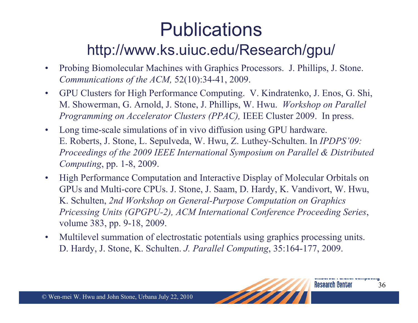### Publications http://www.ks.uiuc.edu/Research/gpu/

- $\bullet$  Probing Biomolecular Machines with Graphics Processors. J. Phillips, J. Stone. *Communications of the ACM,* 52(10):34-41, 2009.
- • GPU Clusters for High Performance Computing. V. Kindratenko, J. Enos, G. Shi, M. Showerman, G. Arnold, J. Stone, J. Phillips, W. Hwu. *Workshop on Parallel Programming on Accelerator Clusters (PPAC),* IEEE Cluster 2009. In press.
- $\bullet$  Long time-scale simulations of in vivo diffusion using GPU hardware. E. Roberts, J. Stone, L. Sepulveda, W. Hwu, Z. Luthey-Schulten. In *IPDPS'09: Proceedings of the 2009 IEEE International Symposium on Parallel & Distributed Computing*, pp. 1-8, 2009.
- $\bullet$  High Performance Computation and Interactive Display of Molecular Orbitals on GPUs and Multi-core CPUs. J. Stone, J. Saam, D. Hardy, K. Vandivort, W. Hwu, K. Schulten, *2nd Workshop on General-Purpose Computation on Graphics Pricessing Units (GPGPU-2), ACM International Conference Proceeding Series*, volume 383, pp. 9-18, 2009.
- • Multilevel summation of electrostatic potentials using graphics processing units. D. Hardy, J. Stone, K. Schulten. *J. Parallel Computing*, 35:164-177, 2009.

**Research Center**